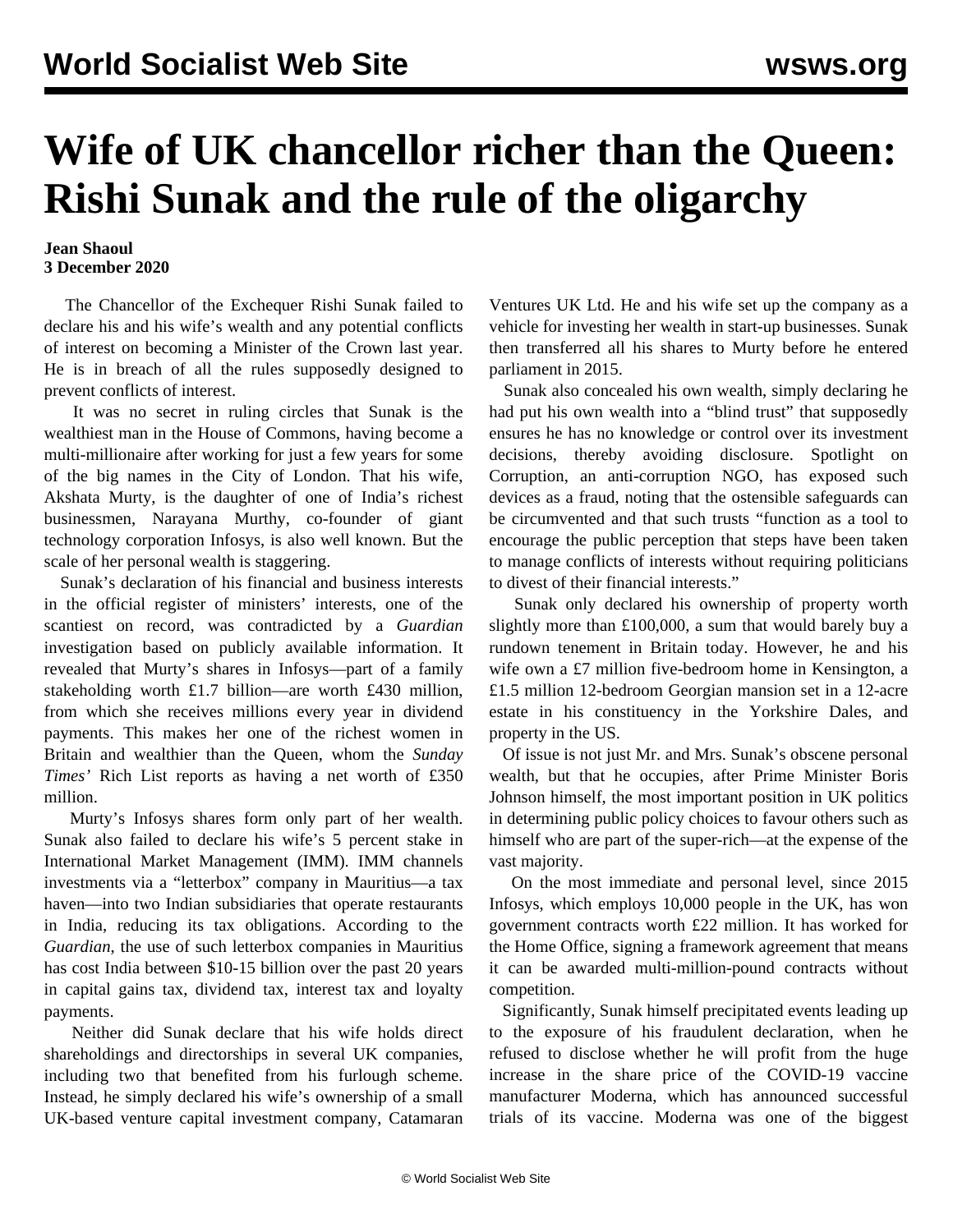## **Wife of UK chancellor richer than the Queen: Rishi Sunak and the rule of the oligarchy**

## **Jean Shaoul 3 December 2020**

 The Chancellor of the Exchequer Rishi Sunak failed to declare his and his wife's wealth and any potential conflicts of interest on becoming a Minister of the Crown last year. He is in breach of all the rules supposedly designed to prevent conflicts of interest.

 It was no secret in ruling circles that Sunak is the wealthiest man in the House of Commons, having become a multi-millionaire after working for just a few years for some of the big names in the City of London. That his wife, Akshata Murty, is the daughter of one of India's richest businessmen, Narayana Murthy, co-founder of giant technology corporation Infosys, is also well known. But the scale of her personal wealth is staggering.

 Sunak's declaration of his financial and business interests in the official register of ministers' interests, one of the scantiest on record, was contradicted by a *Guardian* investigation based on publicly available information. It revealed that Murty's shares in Infosys—part of a family stakeholding worth £1.7 billion—are worth £430 million, from which she receives millions every year in dividend payments. This makes her one of the richest women in Britain and wealthier than the Queen, whom the *Sunday Times'* Rich List reports as having a net worth of £350 million.

 Murty's Infosys shares form only part of her wealth. Sunak also failed to declare his wife's 5 percent stake in International Market Management (IMM). IMM channels investments via a "letterbox" company in Mauritius—a tax haven—into two Indian subsidiaries that operate restaurants in India, reducing its tax obligations. According to the *Guardian*, the use of such letterbox companies in Mauritius has cost India between \$10-15 billion over the past 20 years in capital gains tax, dividend tax, interest tax and loyalty payments.

 Neither did Sunak declare that his wife holds direct shareholdings and directorships in several UK companies, including two that benefited from his furlough scheme. Instead, he simply declared his wife's ownership of a small UK-based venture capital investment company, Catamaran Ventures UK Ltd. He and his wife set up the company as a vehicle for investing her wealth in start-up businesses. Sunak then transferred all his shares to Murty before he entered parliament in 2015.

 Sunak also concealed his own wealth, simply declaring he had put his own wealth into a "blind trust" that supposedly ensures he has no knowledge or control over its investment decisions, thereby avoiding disclosure. Spotlight on Corruption, an anti-corruption NGO, has exposed such devices as a fraud, noting that the ostensible safeguards can be circumvented and that such trusts "function as a tool to encourage the public perception that steps have been taken to manage conflicts of interests without requiring politicians to divest of their financial interests."

 Sunak only declared his ownership of property worth slightly more than £100,000, a sum that would barely buy a rundown tenement in Britain today. However, he and his wife own a £7 million five-bedroom home in Kensington, a £1.5 million 12-bedroom Georgian mansion set in a 12-acre estate in his constituency in the Yorkshire Dales, and property in the US.

 Of issue is not just Mr. and Mrs. Sunak's obscene personal wealth, but that he occupies, after Prime Minister Boris Johnson himself, the most important position in UK politics in determining public policy choices to favour others such as himself who are part of the super-rich—at the expense of the vast majority.

 On the most immediate and personal level, since 2015 Infosys, which employs 10,000 people in the UK, has won government contracts worth £22 million. It has worked for the Home Office, signing a framework agreement that means it can be awarded multi-million-pound contracts without competition.

 Significantly, Sunak himself precipitated events leading up to the exposure of his fraudulent declaration, when he refused to disclose whether he will profit from the huge increase in the share price of the COVID-19 vaccine manufacturer Moderna, which has announced successful trials of its vaccine. Moderna was one of the biggest